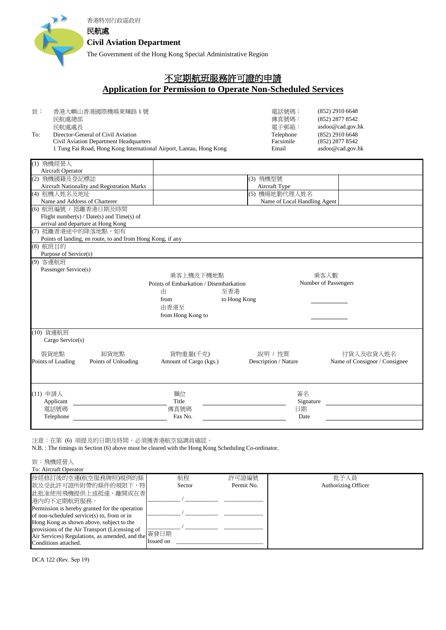

## 不定期航班服務許可證的申請

## **Application for Permission to Operate Non-Scheduled Services**

| 致:  | 香港大嶼山香港國際機場東輝路1號                                                    | 雷話號碼:     | $(852)$ 2910 6648 |
|-----|---------------------------------------------------------------------|-----------|-------------------|
|     | 民航處總部                                                               | 傳真號碼:     | (852) 2877 8542   |
|     | 民航處處長                                                               | 雷子郵箱:     | asdoo@cad.gov.hk  |
| To: | Director-General of Civil Aviation                                  | Telephone | $(852)$ 2910 6648 |
|     | Civil Aviation Department Headquarters                              | Facsimile | (852) 2877 8542   |
|     | 1 Tung Fai Road, Hong Kong International Airport, Lantau, Hong Kong | Email     | asdoo@cad.gov.hk  |

| (1) 飛機經營人                     |                                                            |                                        |                      |           |                               |  |  |
|-------------------------------|------------------------------------------------------------|----------------------------------------|----------------------|-----------|-------------------------------|--|--|
| Aircraft Operator             |                                                            |                                        |                      |           |                               |  |  |
| (2) 飛機國籍及登記標誌                 |                                                            |                                        | (3) 飛機型號             |           |                               |  |  |
|                               | Aircraft Nationality and Registration Marks                | Aircraft Type                          |                      |           |                               |  |  |
| (4) 租機人姓名及地址                  |                                                            | (5) 機場地勤代理人姓名                          |                      |           |                               |  |  |
| Name and Address of Charterer |                                                            |                                        |                      |           | Name of Local Handling Agent  |  |  |
| (6) 航班編號 / 抵離香港日期及時間          |                                                            |                                        |                      |           |                               |  |  |
|                               | Flight number(s) / Date(s) and Time(s) of                  |                                        |                      |           |                               |  |  |
|                               | arrival and departure at Hong Kong                         |                                        |                      |           |                               |  |  |
| (7) 抵離香港途中的降落地點, 如有           |                                                            |                                        |                      |           |                               |  |  |
|                               | Points of landing, en route, to and from Hong Kong, if any |                                        |                      |           |                               |  |  |
| (8) 航班目的                      |                                                            |                                        |                      |           |                               |  |  |
| Purpose of Service(s)         |                                                            |                                        |                      |           |                               |  |  |
| (9) 客運航班                      |                                                            |                                        |                      |           |                               |  |  |
| Passenger Service(s)          |                                                            |                                        |                      |           |                               |  |  |
|                               |                                                            | 乘客上機及下機地點                              |                      |           | 乘客人數                          |  |  |
|                               |                                                            | Points of Embarkation / Disembarkation |                      |           | Number of Passengers          |  |  |
|                               |                                                            | 由                                      | 至香港                  |           |                               |  |  |
|                               |                                                            | from                                   | to Hong Kong         |           |                               |  |  |
|                               |                                                            | 由香港至                                   |                      |           |                               |  |  |
|                               |                                                            | from Hong Kong to                      |                      |           |                               |  |  |
|                               |                                                            |                                        |                      |           |                               |  |  |
| (10) 貨運航班                     |                                                            |                                        |                      |           |                               |  |  |
| Cargo Service(s)              |                                                            |                                        |                      |           |                               |  |  |
|                               |                                                            |                                        |                      |           |                               |  |  |
| 裝貨地點                          | 卸貨地點                                                       | 貨物重量(千克)                               | 說明 / 性質              |           | 付貨人及收貨人姓名                     |  |  |
| Points of Loading             | Points of Unloading                                        | Amount of Cargo (kgs.)                 | Description / Nature |           | Name of Consignor / Consignee |  |  |
|                               |                                                            |                                        |                      |           |                               |  |  |
|                               |                                                            |                                        |                      |           |                               |  |  |
|                               |                                                            |                                        |                      |           |                               |  |  |
| (11) 申請人                      |                                                            | 職位                                     |                      | 簽名        |                               |  |  |
| Applicant                     |                                                            | Title                                  |                      | Signature |                               |  |  |
| 電話號碼                          |                                                            | 傳真號碼                                   |                      |           | 日期                            |  |  |
| Telephone                     |                                                            | Fax No.                                |                      | Date      |                               |  |  |
|                               |                                                            |                                        |                      |           |                               |  |  |
|                               |                                                            |                                        |                      |           |                               |  |  |

注意:在第 (6) 項提及的日期及時間,必須獲香港航空協調員確認。

N.B. : The timings in Section (6) above must be cleared with the Hong Kong Scheduling Co-ordinator.

致:飛機經營人

| To: Aircraft Operator                                                      |           |        |            |                     |  |  |  |  |
|----------------------------------------------------------------------------|-----------|--------|------------|---------------------|--|--|--|--|
| 按經修訂後的空運(航空服務牌照)規例的條                                                       |           | 航程     | 許可證編號      | 批予人員                |  |  |  |  |
| 款及受此許可證所附帶的條件的規限下,特                                                        |           | Sector | Permit No. | Authorizing Officer |  |  |  |  |
| 此批准使用飛機提供上述抵達,離開或在香                                                        |           |        |            |                     |  |  |  |  |
| 港内的不定期航班服務。                                                                |           |        |            |                     |  |  |  |  |
| Permission is hereby granted for the operation                             |           |        |            |                     |  |  |  |  |
| of non-scheduled service(s) to, from or in                                 |           |        |            |                     |  |  |  |  |
| Hong Kong as shown above, subject to the                                   |           |        |            |                     |  |  |  |  |
| provisions of the Air Transport (Licensing of                              |           |        |            |                     |  |  |  |  |
| Air Services) Regulations, as amended, and the $\mathcal{H}$ $\mathcal{H}$ |           |        |            |                     |  |  |  |  |
| Conditions attached.                                                       | Issued on |        |            |                     |  |  |  |  |
|                                                                            |           |        |            |                     |  |  |  |  |

DCA 122 (Rev. Sep 19)